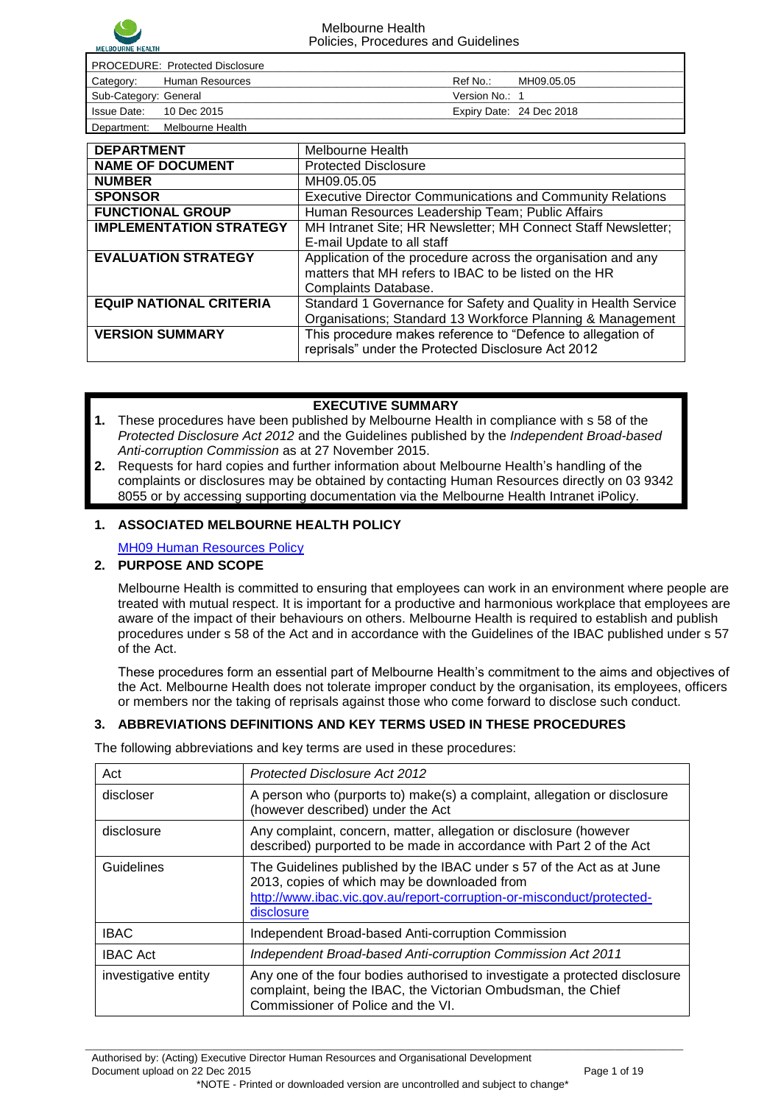

| <b>PROCEDURE: Protected Disclosure</b> |                  |                |                          |  |
|----------------------------------------|------------------|----------------|--------------------------|--|
| Category:                              | Human Resources  | Ref No.:       | MH09.05.05               |  |
| Sub-Category: General                  |                  | Version No.: 1 |                          |  |
| Issue Date: 10 Dec 2015                |                  |                | Expiry Date: 24 Dec 2018 |  |
| Department:                            | Melbourne Health |                |                          |  |

| <b>DEPARTMENT</b>              | Melbourne Health                                                 |  |
|--------------------------------|------------------------------------------------------------------|--|
| <b>NAME OF DOCUMENT</b>        | <b>Protected Disclosure</b>                                      |  |
| <b>NUMBER</b>                  | MH09.05.05                                                       |  |
| <b>SPONSOR</b>                 | <b>Executive Director Communications and Community Relations</b> |  |
| <b>FUNCTIONAL GROUP</b>        | Human Resources Leadership Team; Public Affairs                  |  |
| <b>IMPLEMENTATION STRATEGY</b> | MH Intranet Site; HR Newsletter; MH Connect Staff Newsletter;    |  |
|                                | E-mail Update to all staff                                       |  |
| <b>EVALUATION STRATEGY</b>     | Application of the procedure across the organisation and any     |  |
|                                | matters that MH refers to IBAC to be listed on the HR            |  |
|                                | Complaints Database.                                             |  |
| <b>EQUIP NATIONAL CRITERIA</b> | Standard 1 Governance for Safety and Quality in Health Service   |  |
|                                | Organisations; Standard 13 Workforce Planning & Management       |  |
| <b>VERSION SUMMARY</b>         | This procedure makes reference to "Defence to allegation of      |  |
|                                | reprisals" under the Protected Disclosure Act 2012               |  |
|                                |                                                                  |  |

#### **EXECUTIVE SUMMARY**

- **1.** These procedures have been published by Melbourne Health in compliance with s 58 of the *Protected Disclosure Act 2012* and the Guidelines published by the *Independent Broad-based Anti-corruption Commission* as at 27 November 2015.
- **2.** Requests for hard copies and further information about Melbourne Health"s handling of the complaints or disclosures may be obtained by contacting Human Resources directly on 03 9342 8055 or by accessing supporting documentation via the Melbourne Health Intranet iPolicy.

#### **1. ASSOCIATED MELBOURNE HEALTH POLICY**

[MH09 Human Resources Policy](http://mhipolicy/iPolicyV2/ViewPolicyDocument.aspx?policyCode=MH09)

## **2. PURPOSE AND SCOPE**

Melbourne Health is committed to ensuring that employees can work in an environment where people are treated with mutual respect. It is important for a productive and harmonious workplace that employees are aware of the impact of their behaviours on others. Melbourne Health is required to establish and publish procedures under s 58 of the Act and in accordance with the Guidelines of the IBAC published under s 57 of the Act.

These procedures form an essential part of Melbourne Health"s commitment to the aims and objectives of the Act. Melbourne Health does not tolerate improper conduct by the organisation, its employees, officers or members nor the taking of reprisals against those who come forward to disclose such conduct.

### **3. ABBREVIATIONS DEFINITIONS AND KEY TERMS USED IN THESE PROCEDURES**

The following abbreviations and key terms are used in these procedures:

| Act                  | <b>Protected Disclosure Act 2012</b>                                                                                                                                                                         |
|----------------------|--------------------------------------------------------------------------------------------------------------------------------------------------------------------------------------------------------------|
| discloser            | A person who (purports to) make(s) a complaint, allegation or disclosure<br>(however described) under the Act                                                                                                |
| disclosure           | Any complaint, concern, matter, allegation or disclosure (however<br>described) purported to be made in accordance with Part 2 of the Act                                                                    |
| Guidelines           | The Guidelines published by the IBAC under s 57 of the Act as at June<br>2013, copies of which may be downloaded from<br>http://www.ibac.vic.gov.au/report-corruption-or-misconduct/protected-<br>disclosure |
| <b>IBAC</b>          | Independent Broad-based Anti-corruption Commission                                                                                                                                                           |
| <b>IBAC Act</b>      | Independent Broad-based Anti-corruption Commission Act 2011                                                                                                                                                  |
| investigative entity | Any one of the four bodies authorised to investigate a protected disclosure<br>complaint, being the IBAC, the Victorian Ombudsman, the Chief<br>Commissioner of Police and the VI.                           |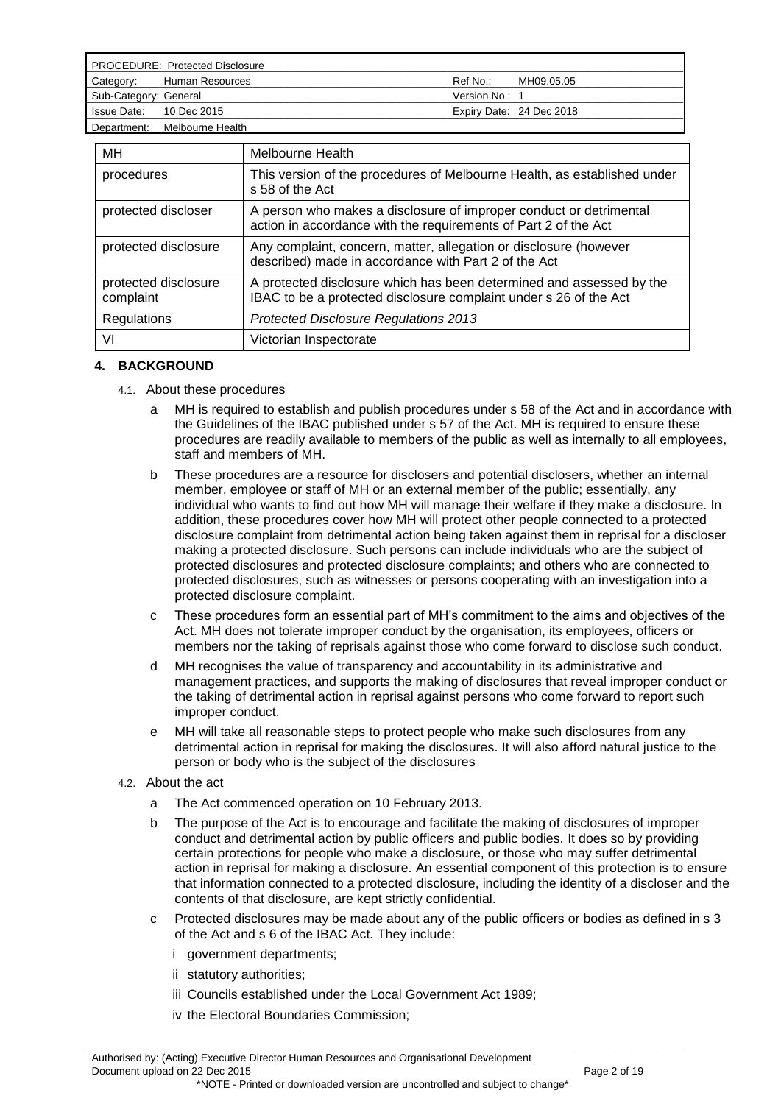| <b>PROCEDURE: Protected Disclosure</b> |                              |                |                          |
|----------------------------------------|------------------------------|----------------|--------------------------|
| Category:                              | Human Resources              | Ref No.:       | MH09.05.05               |
| Sub-Category: General                  |                              | Version No.: 1 |                          |
| Issue Date: 10 Dec 2015                |                              |                | Expiry Date: 24 Dec 2018 |
|                                        | Department: Melbourne Health |                |                          |

| МH                                | Melbourne Health                                                                                                                          |
|-----------------------------------|-------------------------------------------------------------------------------------------------------------------------------------------|
| procedures                        | This version of the procedures of Melbourne Health, as established under<br>s 58 of the Act                                               |
| protected discloser               | A person who makes a disclosure of improper conduct or detrimental<br>action in accordance with the requirements of Part 2 of the Act     |
| protected disclosure              | Any complaint, concern, matter, allegation or disclosure (however<br>described) made in accordance with Part 2 of the Act                 |
| protected disclosure<br>complaint | A protected disclosure which has been determined and assessed by the<br>IBAC to be a protected disclosure complaint under s 26 of the Act |
| Regulations                       | <b>Protected Disclosure Regulations 2013</b>                                                                                              |
| VI                                | Victorian Inspectorate                                                                                                                    |

### **4. BACKGROUND**

- 4.1. About these procedures
	- a MH is required to establish and publish procedures under s 58 of the Act and in accordance with the Guidelines of the IBAC published under s 57 of the Act. MH is required to ensure these procedures are readily available to members of the public as well as internally to all employees, staff and members of MH.
	- b These procedures are a resource for disclosers and potential disclosers, whether an internal member, employee or staff of MH or an external member of the public; essentially, any individual who wants to find out how MH will manage their welfare if they make a disclosure. In addition, these procedures cover how MH will protect other people connected to a protected disclosure complaint from detrimental action being taken against them in reprisal for a discloser making a protected disclosure. Such persons can include individuals who are the subject of protected disclosures and protected disclosure complaints; and others who are connected to protected disclosures, such as witnesses or persons cooperating with an investigation into a protected disclosure complaint.
	- c These procedures form an essential part of MH"s commitment to the aims and objectives of the Act. MH does not tolerate improper conduct by the organisation, its employees, officers or members nor the taking of reprisals against those who come forward to disclose such conduct.
	- d MH recognises the value of transparency and accountability in its administrative and management practices, and supports the making of disclosures that reveal improper conduct or the taking of detrimental action in reprisal against persons who come forward to report such improper conduct.
	- MH will take all reasonable steps to protect people who make such disclosures from any detrimental action in reprisal for making the disclosures. It will also afford natural justice to the person or body who is the subject of the disclosures
- 4.2. About the act
	- a The Act commenced operation on 10 February 2013.
	- b The purpose of the Act is to encourage and facilitate the making of disclosures of improper conduct and detrimental action by public officers and public bodies. It does so by providing certain protections for people who make a disclosure, or those who may suffer detrimental action in reprisal for making a disclosure. An essential component of this protection is to ensure that information connected to a protected disclosure, including the identity of a discloser and the contents of that disclosure, are kept strictly confidential.
	- c Protected disclosures may be made about any of the public officers or bodies as defined in s 3 of the Act and s 6 of the IBAC Act. They include:
		- i government departments;
		- ii statutory authorities;
		- iii Councils established under the Local Government Act 1989;
		- iv the Electoral Boundaries Commission;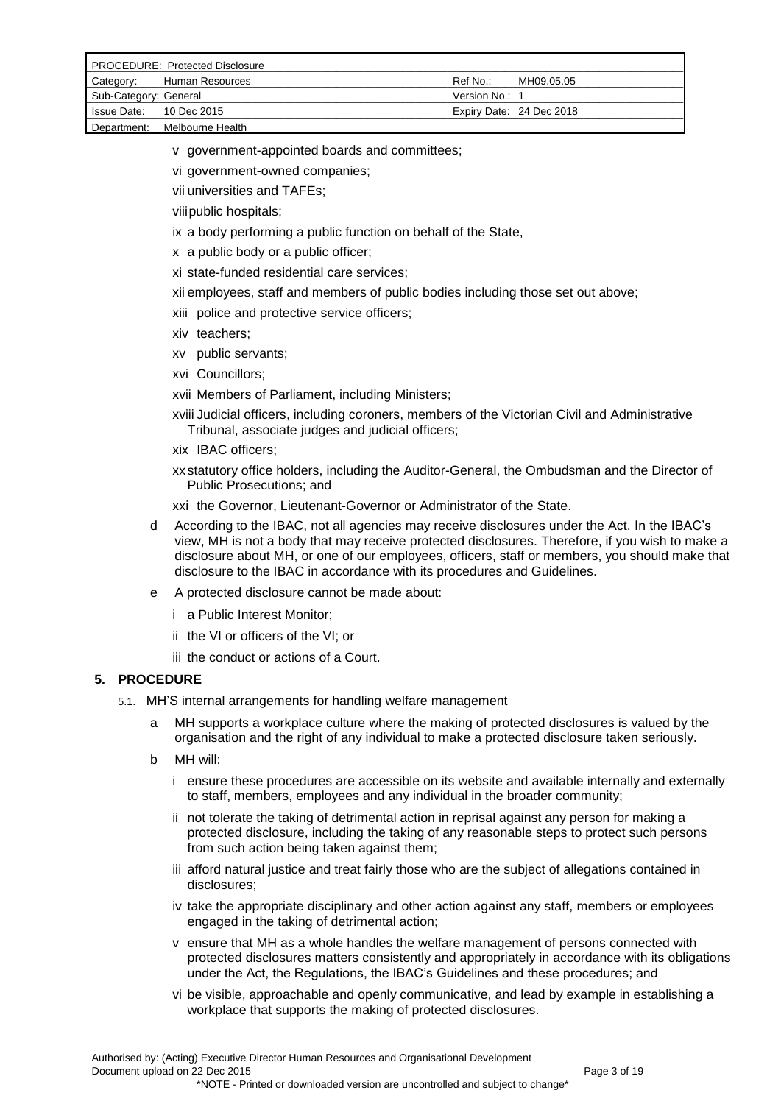| <b>PROCEDURE: Protected Disclosure</b> |                              |                |                          |
|----------------------------------------|------------------------------|----------------|--------------------------|
| Category:                              | Human Resources              | Ref No∴        | MH09.05.05               |
| Sub-Category: General                  |                              | Version No.: 1 |                          |
| Is sue Date: 10 Dec 2015               |                              |                | Expiry Date: 24 Dec 2018 |
|                                        | Department: Melbourne Health |                |                          |

- v government-appointed boards and committees;
- vi government-owned companies;
- vii universities and TAFEs;

viiipublic hospitals;

- ix a body performing a public function on behalf of the State,
- x a public body or a public officer;

xi state-funded residential care services;

xii employees, staff and members of public bodies including those set out above;

xiii police and protective service officers;

- xiv teachers;
- xv public servants;
- xvi Councillors;

xvii Members of Parliament, including Ministers;

xviii Judicial officers, including coroners, members of the Victorian Civil and Administrative Tribunal, associate judges and judicial officers;

xix IBAC officers;

xx statutory office holders, including the Auditor-General, the Ombudsman and the Director of Public Prosecutions; and

- xxi the Governor, Lieutenant-Governor or Administrator of the State.
- d According to the IBAC, not all agencies may receive disclosures under the Act. In the IBAC"s view, MH is not a body that may receive protected disclosures. Therefore, if you wish to make a disclosure about MH, or one of our employees, officers, staff or members, you should make that disclosure to the IBAC in accordance with its procedures and Guidelines.
- e A protected disclosure cannot be made about:
	- i a Public Interest Monitor;
	- ii the VI or officers of the VI; or
	- iii the conduct or actions of a Court.

### **5. PROCEDURE**

- 5.1. MH"S internal arrangements for handling welfare management
	- a MH supports a workplace culture where the making of protected disclosures is valued by the organisation and the right of any individual to make a protected disclosure taken seriously.
	- b MH will:
		- i ensure these procedures are accessible on its website and available internally and externally to staff, members, employees and any individual in the broader community;
		- ii not tolerate the taking of detrimental action in reprisal against any person for making a protected disclosure, including the taking of any reasonable steps to protect such persons from such action being taken against them;
		- iii afford natural justice and treat fairly those who are the subject of allegations contained in disclosures;
		- iv take the appropriate disciplinary and other action against any staff, members or employees engaged in the taking of detrimental action;
		- v ensure that MH as a whole handles the welfare management of persons connected with protected disclosures matters consistently and appropriately in accordance with its obligations under the Act, the Regulations, the IBAC"s Guidelines and these procedures; and
		- vi be visible, approachable and openly communicative, and lead by example in establishing a workplace that supports the making of protected disclosures.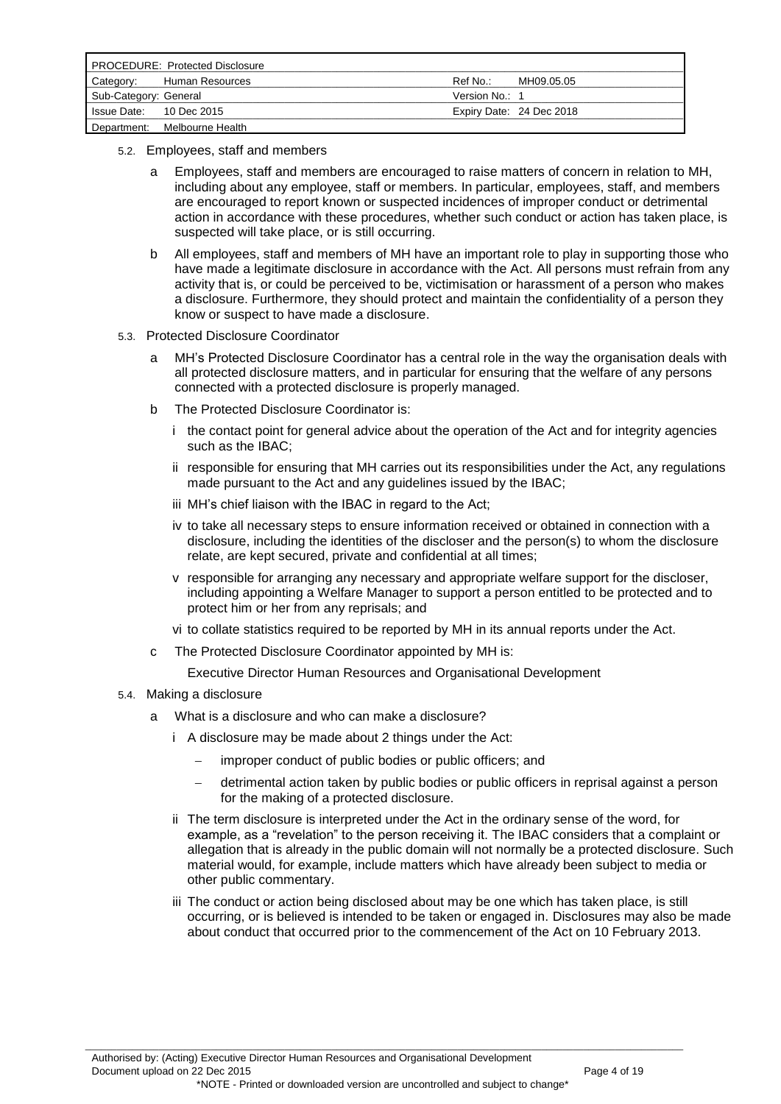| <b>PROCEDURE: Protected Disclosure</b> |                              |                |                          |
|----------------------------------------|------------------------------|----------------|--------------------------|
| Category:                              | Human Resources              | Ref No∴        | MH09.05.05               |
| Sub-Category: General                  |                              | Version No.: 1 |                          |
| Issue Date: 10 Dec 2015                |                              |                | Expiry Date: 24 Dec 2018 |
|                                        | Department: Melbourne Health |                |                          |

- 5.2. Employees, staff and members
	- a Employees, staff and members are encouraged to raise matters of concern in relation to MH, including about any employee, staff or members. In particular, employees, staff, and members are encouraged to report known or suspected incidences of improper conduct or detrimental action in accordance with these procedures, whether such conduct or action has taken place, is suspected will take place, or is still occurring.
	- b All employees, staff and members of MH have an important role to play in supporting those who have made a legitimate disclosure in accordance with the Act. All persons must refrain from any activity that is, or could be perceived to be, victimisation or harassment of a person who makes a disclosure. Furthermore, they should protect and maintain the confidentiality of a person they know or suspect to have made a disclosure.
- 5.3. Protected Disclosure Coordinator
	- a MH"s Protected Disclosure Coordinator has a central role in the way the organisation deals with all protected disclosure matters, and in particular for ensuring that the welfare of any persons connected with a protected disclosure is properly managed.
	- b The Protected Disclosure Coordinator is:
		- i the contact point for general advice about the operation of the Act and for integrity agencies such as the IBAC;
		- ii responsible for ensuring that MH carries out its responsibilities under the Act, any regulations made pursuant to the Act and any guidelines issued by the IBAC;
		- iii MH"s chief liaison with the IBAC in regard to the Act;
		- iv to take all necessary steps to ensure information received or obtained in connection with a disclosure, including the identities of the discloser and the person(s) to whom the disclosure relate, are kept secured, private and confidential at all times;
		- v responsible for arranging any necessary and appropriate welfare support for the discloser, including appointing a Welfare Manager to support a person entitled to be protected and to protect him or her from any reprisals; and
		- vi to collate statistics required to be reported by MH in its annual reports under the Act.
	- c The Protected Disclosure Coordinator appointed by MH is:

Executive Director Human Resources and Organisational Development

- 5.4. Making a disclosure
	- a What is a disclosure and who can make a disclosure?
		- i A disclosure may be made about 2 things under the Act:
			- improper conduct of public bodies or public officers; and
			- detrimental action taken by public bodies or public officers in reprisal against a person for the making of a protected disclosure.
		- ii The term disclosure is interpreted under the Act in the ordinary sense of the word, for example, as a "revelation" to the person receiving it. The IBAC considers that a complaint or allegation that is already in the public domain will not normally be a protected disclosure. Such material would, for example, include matters which have already been subject to media or other public commentary.
		- iii The conduct or action being disclosed about may be one which has taken place, is still occurring, or is believed is intended to be taken or engaged in. Disclosures may also be made about conduct that occurred prior to the commencement of the Act on 10 February 2013.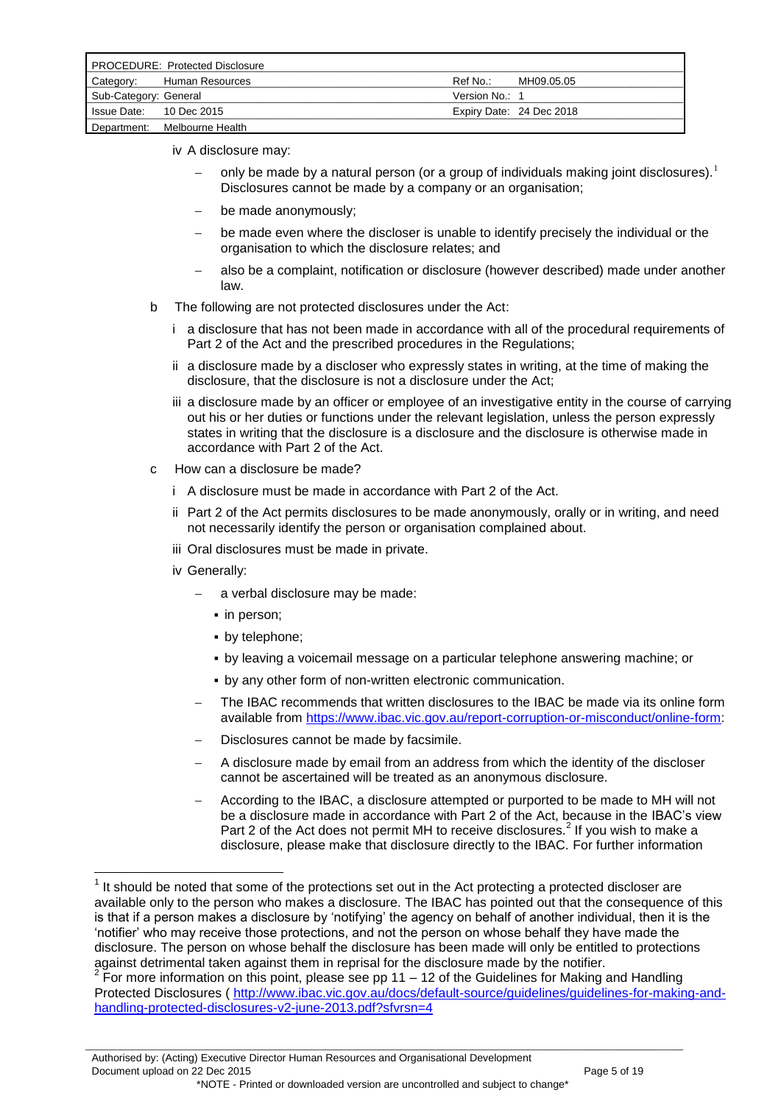| <b>PROCEDURE: Protected Disclosure</b> |                  |                |                          |
|----------------------------------------|------------------|----------------|--------------------------|
| Category:                              | Human Resources  | Ref No.:       | MH09.05.05               |
| Sub-Category: General                  |                  | Version No.: 1 |                          |
| Issue Date: 10 Dec 2015                |                  |                | Expiry Date: 24 Dec 2018 |
| Department:                            | Melbourne Health |                |                          |

- iv A disclosure may:
	- only be made by a natural person (or a group of individuals making joint disclosures). Disclosures cannot be made by a company or an organisation;
	- be made anonymously;
	- be made even where the discloser is unable to identify precisely the individual or the organisation to which the disclosure relates; and
	- also be a complaint, notification or disclosure (however described) made under another law.
- b The following are not protected disclosures under the Act:
	- i a disclosure that has not been made in accordance with all of the procedural requirements of Part 2 of the Act and the prescribed procedures in the Regulations;
	- ii a disclosure made by a discloser who expressly states in writing, at the time of making the disclosure, that the disclosure is not a disclosure under the Act;
	- iii a disclosure made by an officer or employee of an investigative entity in the course of carrying out his or her duties or functions under the relevant legislation, unless the person expressly states in writing that the disclosure is a disclosure and the disclosure is otherwise made in accordance with Part 2 of the Act.
- c How can a disclosure be made?
	- i A disclosure must be made in accordance with Part 2 of the Act.
	- ii Part 2 of the Act permits disclosures to be made anonymously, orally or in writing, and need not necessarily identify the person or organisation complained about.
	- iii Oral disclosures must be made in private.
	- iv Generally:

1

- a verbal disclosure may be made:
	- in person:
	- by telephone:
	- by leaving a voicemail message on a particular telephone answering machine; or
	- **.** by any other form of non-written electronic communication.
- The IBAC recommends that written disclosures to the IBAC be made via its online form available from [https://www.ibac.vic.gov.au/report-corruption-or-misconduct/online-form:](https://www.ibac.vic.gov.au/report-corruption-or-misconduct/online-form)
- Disclosures cannot be made by facsimile.
- A disclosure made by email from an address from which the identity of the discloser cannot be ascertained will be treated as an anonymous disclosure.
- According to the IBAC, a disclosure attempted or purported to be made to MH will not be a disclosure made in accordance with Part 2 of the Act, because in the IBAC"s view Part 2 of the Act does not permit MH to receive disclosures.<sup>2</sup> If you wish to make a disclosure, please make that disclosure directly to the IBAC. For further information

 $<sup>1</sup>$  It should be noted that some of the protections set out in the Act protecting a protected discloser are</sup> available only to the person who makes a disclosure. The IBAC has pointed out that the consequence of this is that if a person makes a disclosure by "notifying" the agency on behalf of another individual, then it is the "notifier" who may receive those protections, and not the person on whose behalf they have made the disclosure. The person on whose behalf the disclosure has been made will only be entitled to protections against detrimental taken against them in reprisal for the disclosure made by the notifier.

 $2$  For more information on this point, please see pp 11 – 12 of the Guidelines for Making and Handling Protected Disclosures ([http://www.ibac.vic.gov.au/docs/default-source/guidelines/guidelines-for-making-and](http://www.ibac.vic.gov.au/docs/default-source/guidelines/guidelines-for-making-and-handling-protected-disclosures-v2-june-2013.pdf?sfvrsn=4)[handling-protected-disclosures-v2-june-2013.pdf?sfvrsn=4](http://www.ibac.vic.gov.au/docs/default-source/guidelines/guidelines-for-making-and-handling-protected-disclosures-v2-june-2013.pdf?sfvrsn=4)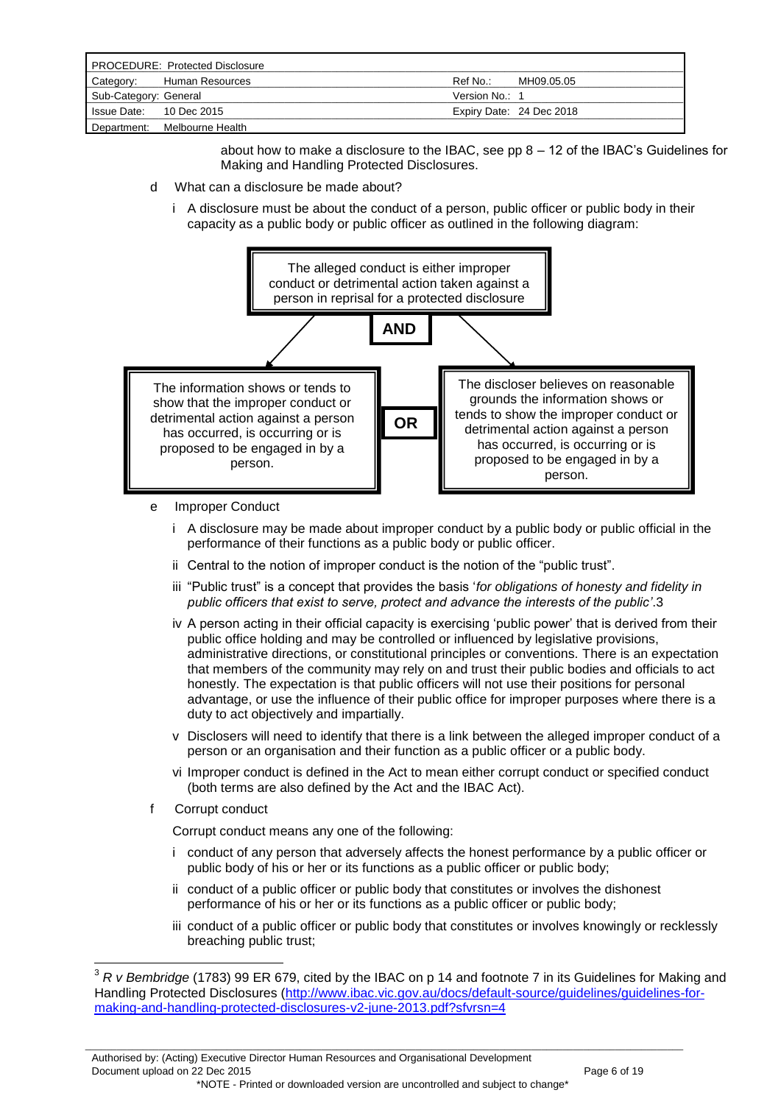| <b>PROCEDURE: Protected Disclosure</b> |                  |                |                          |
|----------------------------------------|------------------|----------------|--------------------------|
| Category:                              | Human Resources  | Ref No.:       | MH09.05.05               |
| Sub-Category: General                  |                  | Version No.: 1 |                          |
| Is sue Date: 10 Dec 2015               |                  |                | Expiry Date: 24 Dec 2018 |
| Department:                            | Melbourne Health |                |                          |

about how to make a disclosure to the IBAC, see pp  $8 - 12$  of the IBAC's Guidelines for Making and Handling Protected Disclosures.

- d What can a disclosure be made about?
	- i A disclosure must be about the conduct of a person, public officer or public body in their capacity as a public body or public officer as outlined in the following diagram:



- e Improper Conduct
	- i A disclosure may be made about improper conduct by a public body or public official in the performance of their functions as a public body or public officer.
	- ii Central to the notion of improper conduct is the notion of the "public trust".
	- iii "Public trust" is a concept that provides the basis "*for obligations of honesty and fidelity in public officers that exist to serve, protect and advance the interests of the public'*.3
	- iv A person acting in their official capacity is exercising "public power" that is derived from their public office holding and may be controlled or influenced by legislative provisions, administrative directions, or constitutional principles or conventions. There is an expectation that members of the community may rely on and trust their public bodies and officials to act honestly. The expectation is that public officers will not use their positions for personal advantage, or use the influence of their public office for improper purposes where there is a duty to act objectively and impartially.
	- v Disclosers will need to identify that there is a link between the alleged improper conduct of a person or an organisation and their function as a public officer or a public body.
	- vi Improper conduct is defined in the Act to mean either corrupt conduct or specified conduct (both terms are also defined by the Act and the IBAC Act).
- f Corrupt conduct

1

Corrupt conduct means any one of the following:

- i conduct of any person that adversely affects the honest performance by a public officer or public body of his or her or its functions as a public officer or public body;
- ii conduct of a public officer or public body that constitutes or involves the dishonest performance of his or her or its functions as a public officer or public body;
- iii conduct of a public officer or public body that constitutes or involves knowingly or recklessly breaching public trust;

<sup>3</sup> *R v Bembridge* (1783) 99 ER 679, cited by the IBAC on p 14 and footnote 7 in its Guidelines for Making and Handling Protected Disclosures [\(http://www.ibac.vic.gov.au/docs/default-source/guidelines/guidelines-for](http://www.ibac.vic.gov.au/docs/default-source/guidelines/guidelines-for-making-and-handling-protected-disclosures-v2-june-2013.pdf?sfvrsn=4%20)[making-and-handling-protected-disclosures-v2-june-2013.pdf?sfvrsn=4](http://www.ibac.vic.gov.au/docs/default-source/guidelines/guidelines-for-making-and-handling-protected-disclosures-v2-june-2013.pdf?sfvrsn=4%20)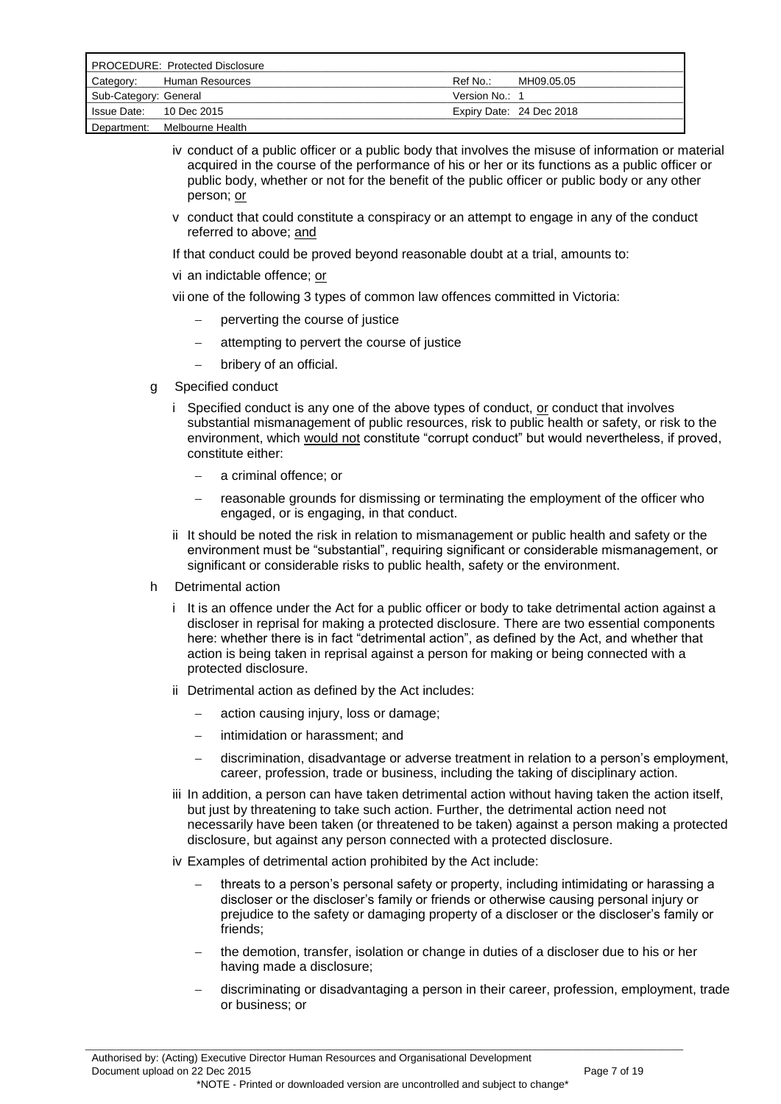| <b>PROCEDURE: Protected Disclosure</b> |                              |                |                          |
|----------------------------------------|------------------------------|----------------|--------------------------|
| Category:                              | Human Resources              | Ref No.:       | MH09.05.05               |
| Sub-Category: General                  |                              | Version No.: 1 |                          |
| Is sue Date: 10 Dec 2015               |                              |                | Expiry Date: 24 Dec 2018 |
|                                        | Department: Melbourne Health |                |                          |

- iv conduct of a public officer or a public body that involves the misuse of information or material acquired in the course of the performance of his or her or its functions as a public officer or public body, whether or not for the benefit of the public officer or public body or any other person; or
- v conduct that could constitute a conspiracy or an attempt to engage in any of the conduct referred to above; and
- If that conduct could be proved beyond reasonable doubt at a trial, amounts to:
- vi an indictable offence; or
- vii one of the following 3 types of common law offences committed in Victoria:
	- perverting the course of justice
	- attempting to pervert the course of justice
	- bribery of an official.
- g Specified conduct
	- i Specified conduct is any one of the above types of conduct, or conduct that involves substantial mismanagement of public resources, risk to public health or safety, or risk to the environment, which would not constitute "corrupt conduct" but would nevertheless, if proved, constitute either:
		- a criminal offence; or
		- reasonable grounds for dismissing or terminating the employment of the officer who engaged, or is engaging, in that conduct.
	- ii It should be noted the risk in relation to mismanagement or public health and safety or the environment must be "substantial", requiring significant or considerable mismanagement, or significant or considerable risks to public health, safety or the environment.
- h Detrimental action
	- i It is an offence under the Act for a public officer or body to take detrimental action against a discloser in reprisal for making a protected disclosure. There are two essential components here: whether there is in fact "detrimental action", as defined by the Act, and whether that action is being taken in reprisal against a person for making or being connected with a protected disclosure.
	- ii Detrimental action as defined by the Act includes:
		- action causing injury, loss or damage;
		- intimidation or harassment; and
		- discrimination, disadvantage or adverse treatment in relation to a person"s employment, career, profession, trade or business, including the taking of disciplinary action.
	- iii In addition, a person can have taken detrimental action without having taken the action itself, but just by threatening to take such action. Further, the detrimental action need not necessarily have been taken (or threatened to be taken) against a person making a protected disclosure, but against any person connected with a protected disclosure.
	- iv Examples of detrimental action prohibited by the Act include:
		- threats to a person"s personal safety or property, including intimidating or harassing a discloser or the discloser"s family or friends or otherwise causing personal injury or prejudice to the safety or damaging property of a discloser or the discloser"s family or friends;
		- the demotion, transfer, isolation or change in duties of a discloser due to his or her having made a disclosure;
		- discriminating or disadvantaging a person in their career, profession, employment, trade or business; or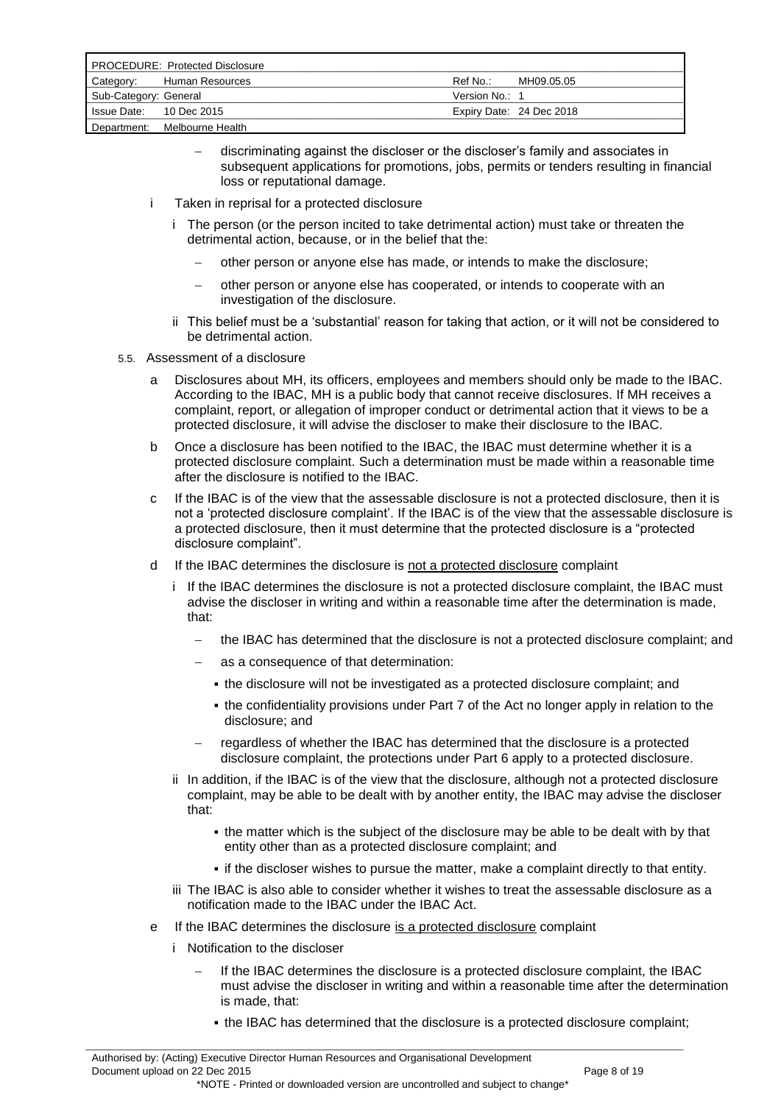| <b>PROCEDURE: Protected Disclosure</b> |                              |                |                          |
|----------------------------------------|------------------------------|----------------|--------------------------|
| Category:                              | Human Resources              | Ref No∴        | MH09.05.05               |
| Sub-Category: General                  |                              | Version No.: 1 |                          |
| Is sue Date: 10 Dec 2015               |                              |                | Expiry Date: 24 Dec 2018 |
|                                        | Department: Melbourne Health |                |                          |

- discriminating against the discloser or the discloser"s family and associates in subsequent applications for promotions, jobs, permits or tenders resulting in financial loss or reputational damage.
- i Taken in reprisal for a protected disclosure
	- i The person (or the person incited to take detrimental action) must take or threaten the detrimental action, because, or in the belief that the:
		- other person or anyone else has made, or intends to make the disclosure;
		- other person or anyone else has cooperated, or intends to cooperate with an investigation of the disclosure.
	- ii This belief must be a "substantial" reason for taking that action, or it will not be considered to be detrimental action.
- 5.5. Assessment of a disclosure
	- a Disclosures about MH, its officers, employees and members should only be made to the IBAC. According to the IBAC, MH is a public body that cannot receive disclosures. If MH receives a complaint, report, or allegation of improper conduct or detrimental action that it views to be a protected disclosure, it will advise the discloser to make their disclosure to the IBAC.
	- b Once a disclosure has been notified to the IBAC, the IBAC must determine whether it is a protected disclosure complaint. Such a determination must be made within a reasonable time after the disclosure is notified to the IBAC.
	- c If the IBAC is of the view that the assessable disclosure is not a protected disclosure, then it is not a "protected disclosure complaint". If the IBAC is of the view that the assessable disclosure is a protected disclosure, then it must determine that the protected disclosure is a "protected disclosure complaint".
	- d If the IBAC determines the disclosure is not a protected disclosure complaint
		- i If the IBAC determines the disclosure is not a protected disclosure complaint, the IBAC must advise the discloser in writing and within a reasonable time after the determination is made, that:
			- the IBAC has determined that the disclosure is not a protected disclosure complaint; and
			- as a consequence of that determination:
				- the disclosure will not be investigated as a protected disclosure complaint; and
				- the confidentiality provisions under Part 7 of the Act no longer apply in relation to the disclosure; and
			- regardless of whether the IBAC has determined that the disclosure is a protected disclosure complaint, the protections under Part 6 apply to a protected disclosure.
		- ii In addition, if the IBAC is of the view that the disclosure, although not a protected disclosure complaint, may be able to be dealt with by another entity, the IBAC may advise the discloser that:
			- . the matter which is the subject of the disclosure may be able to be dealt with by that entity other than as a protected disclosure complaint; and
			- if the discloser wishes to pursue the matter, make a complaint directly to that entity.
		- iii The IBAC is also able to consider whether it wishes to treat the assessable disclosure as a notification made to the IBAC under the IBAC Act.
	- e If the IBAC determines the disclosure is a protected disclosure complaint

- i Notification to the discloser
	- If the IBAC determines the disclosure is a protected disclosure complaint, the IBAC must advise the discloser in writing and within a reasonable time after the determination is made, that:
		- the IBAC has determined that the disclosure is a protected disclosure complaint;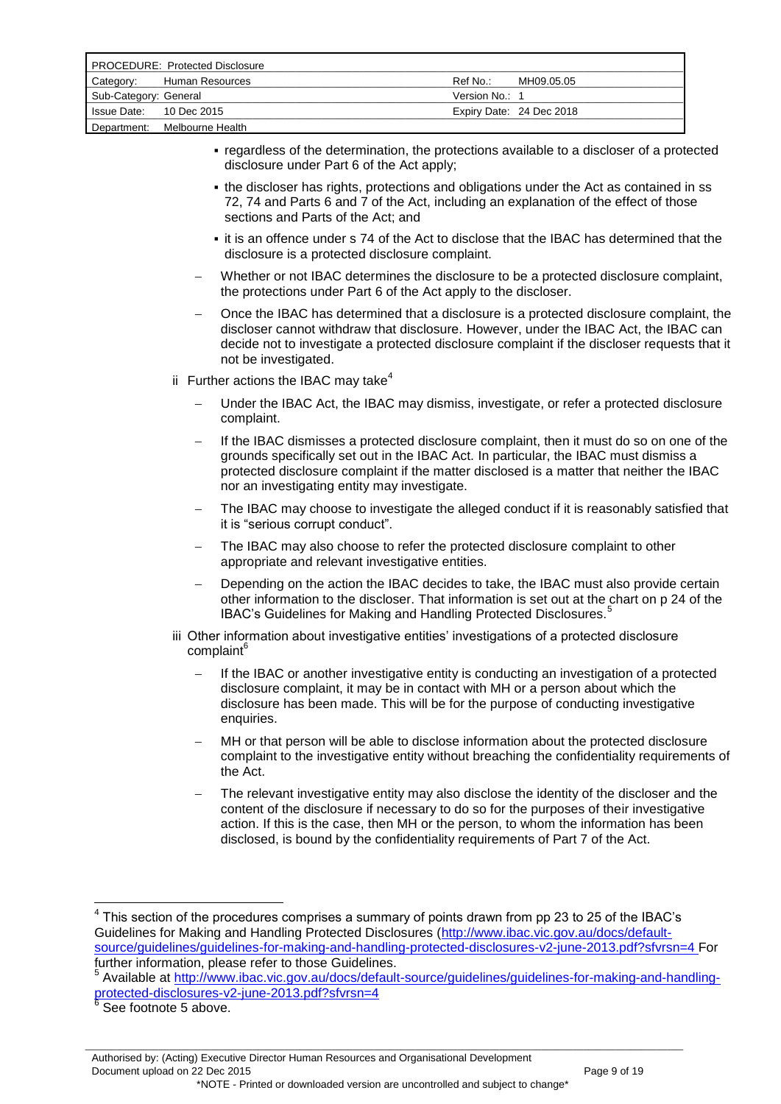| <b>PROCEDURE: Protected Disclosure</b> |                  |                |                          |
|----------------------------------------|------------------|----------------|--------------------------|
| Category:                              | Human Resources  | Ref No.:       | MH09.05.05               |
| Sub-Category: General                  |                  | Version No.: 1 |                          |
| Is sue Date: 10 Dec 2015               |                  |                | Expiry Date: 24 Dec 2018 |
| Department:                            | Melbourne Health |                |                          |

- regardless of the determination, the protections available to a discloser of a protected disclosure under Part 6 of the Act apply;
- . the discloser has rights, protections and obligations under the Act as contained in ss 72, 74 and Parts 6 and 7 of the Act, including an explanation of the effect of those sections and Parts of the Act; and
- it is an offence under s 74 of the Act to disclose that the IBAC has determined that the disclosure is a protected disclosure complaint.
- Whether or not IBAC determines the disclosure to be a protected disclosure complaint, the protections under Part 6 of the Act apply to the discloser.
- Once the IBAC has determined that a disclosure is a protected disclosure complaint, the discloser cannot withdraw that disclosure. However, under the IBAC Act, the IBAC can decide not to investigate a protected disclosure complaint if the discloser requests that it not be investigated.
- ii Further actions the IBAC may take<sup>4</sup>
	- Under the IBAC Act, the IBAC may dismiss, investigate, or refer a protected disclosure complaint.
	- If the IBAC dismisses a protected disclosure complaint, then it must do so on one of the grounds specifically set out in the IBAC Act. In particular, the IBAC must dismiss a protected disclosure complaint if the matter disclosed is a matter that neither the IBAC nor an investigating entity may investigate.
	- The IBAC may choose to investigate the alleged conduct if it is reasonably satisfied that it is "serious corrupt conduct".
	- The IBAC may also choose to refer the protected disclosure complaint to other appropriate and relevant investigative entities.
	- Depending on the action the IBAC decides to take, the IBAC must also provide certain other information to the discloser. That information is set out at the chart on p 24 of the IBAC's Guidelines for Making and Handling Protected Disclosures.<sup>5</sup>
- iii Other information about investigative entities' investigations of a protected disclosure complaint<sup>6</sup>
	- If the IBAC or another investigative entity is conducting an investigation of a protected disclosure complaint, it may be in contact with MH or a person about which the disclosure has been made. This will be for the purpose of conducting investigative enquiries.
	- MH or that person will be able to disclose information about the protected disclosure complaint to the investigative entity without breaching the confidentiality requirements of the Act.
	- The relevant investigative entity may also disclose the identity of the discloser and the content of the disclosure if necessary to do so for the purposes of their investigative action. If this is the case, then MH or the person, to whom the information has been disclosed, is bound by the confidentiality requirements of Part 7 of the Act.

<sup>————————————————————&</sup>lt;br><sup>4</sup> This section of the procedures comprises a summary of points drawn from pp 23 to 25 of the IBAC's Guidelines for Making and Handling Protected Disclosures [\(http://www.ibac.vic.gov.au/docs/default](http://www.ibac.vic.gov.au/docs/default-source/guidelines/guidelines-for-making-and-handling-protected-disclosures-v2-june-2013.pdf?sfvrsn=4)[source/guidelines/guidelines-for-making-and-handling-protected-disclosures-v2-june-2013.pdf?sfvrsn=4 F](http://www.ibac.vic.gov.au/docs/default-source/guidelines/guidelines-for-making-and-handling-protected-disclosures-v2-june-2013.pdf?sfvrsn=4)or further information, please refer to those Guidelines.

<sup>&</sup>lt;sup>5</sup> Available at [http://www.ibac.vic.gov.au/docs/default-source/guidelines/guidelines-for-making-and-handling](http://www.ibac.vic.gov.au/docs/default-source/guidelines/guidelines-for-making-and-handling-protected-disclosures-v2-june-2013.pdf?sfvrsn=4)[protected-disclosures-v2-june-2013.pdf?sfvrsn=4](http://www.ibac.vic.gov.au/docs/default-source/guidelines/guidelines-for-making-and-handling-protected-disclosures-v2-june-2013.pdf?sfvrsn=4)<br><sup>6</sup> See footnote 5 above.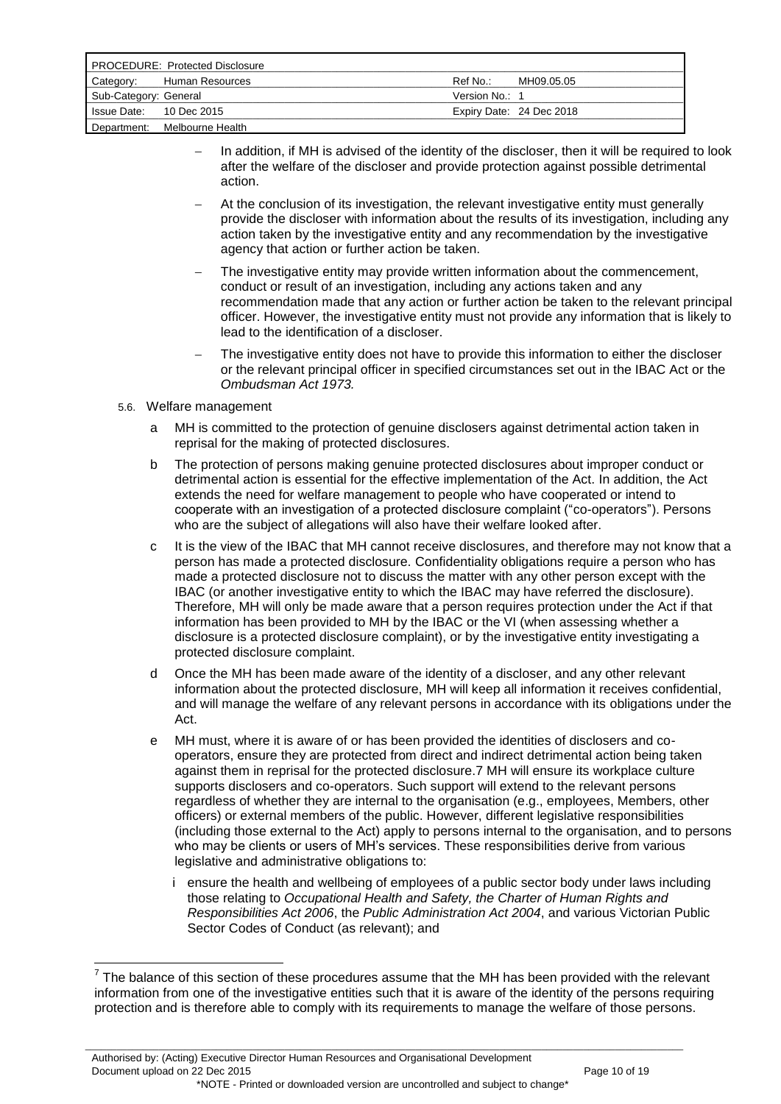| <b>PROCEDURE: Protected Disclosure</b> |                  |                |                          |
|----------------------------------------|------------------|----------------|--------------------------|
| Category:                              | Human Resources  | Ref No.:       | MH09.05.05               |
| Sub-Category: General                  |                  | Version No.: 1 |                          |
| Is sue Date: 10 Dec 2015               |                  |                | Expiry Date: 24 Dec 2018 |
| Department:                            | Melbourne Health |                |                          |

- In addition, if MH is advised of the identity of the discloser, then it will be required to look after the welfare of the discloser and provide protection against possible detrimental action.
- At the conclusion of its investigation, the relevant investigative entity must generally provide the discloser with information about the results of its investigation, including any action taken by the investigative entity and any recommendation by the investigative agency that action or further action be taken.
- The investigative entity may provide written information about the commencement, conduct or result of an investigation, including any actions taken and any recommendation made that any action or further action be taken to the relevant principal officer. However, the investigative entity must not provide any information that is likely to lead to the identification of a discloser.
- The investigative entity does not have to provide this information to either the discloser or the relevant principal officer in specified circumstances set out in the IBAC Act or the *Ombudsman Act 1973.*
- 5.6. Welfare management

1

- a MH is committed to the protection of genuine disclosers against detrimental action taken in reprisal for the making of protected disclosures.
- b The protection of persons making genuine protected disclosures about improper conduct or detrimental action is essential for the effective implementation of the Act. In addition, the Act extends the need for welfare management to people who have cooperated or intend to cooperate with an investigation of a protected disclosure complaint ("co-operators"). Persons who are the subject of allegations will also have their welfare looked after.
- c It is the view of the IBAC that MH cannot receive disclosures, and therefore may not know that a person has made a protected disclosure. Confidentiality obligations require a person who has made a protected disclosure not to discuss the matter with any other person except with the IBAC (or another investigative entity to which the IBAC may have referred the disclosure). Therefore, MH will only be made aware that a person requires protection under the Act if that information has been provided to MH by the IBAC or the VI (when assessing whether a disclosure is a protected disclosure complaint), or by the investigative entity investigating a protected disclosure complaint.
- d Once the MH has been made aware of the identity of a discloser, and any other relevant information about the protected disclosure, MH will keep all information it receives confidential, and will manage the welfare of any relevant persons in accordance with its obligations under the Act.
- e MH must, where it is aware of or has been provided the identities of disclosers and cooperators, ensure they are protected from direct and indirect detrimental action being taken against them in reprisal for the protected disclosure.7 MH will ensure its workplace culture supports disclosers and co-operators. Such support will extend to the relevant persons regardless of whether they are internal to the organisation (e.g., employees, Members, other officers) or external members of the public. However, different legislative responsibilities (including those external to the Act) apply to persons internal to the organisation, and to persons who may be clients or users of MH's services. These responsibilities derive from various legislative and administrative obligations to:
	- i ensure the health and wellbeing of employees of a public sector body under laws including those relating to *Occupational Health and Safety, the Charter of Human Rights and Responsibilities Act 2006*, the *Public Administration Act 2004*, and various Victorian Public Sector Codes of Conduct (as relevant); and

 $7$  The balance of this section of these procedures assume that the MH has been provided with the relevant information from one of the investigative entities such that it is aware of the identity of the persons requiring protection and is therefore able to comply with its requirements to manage the welfare of those persons.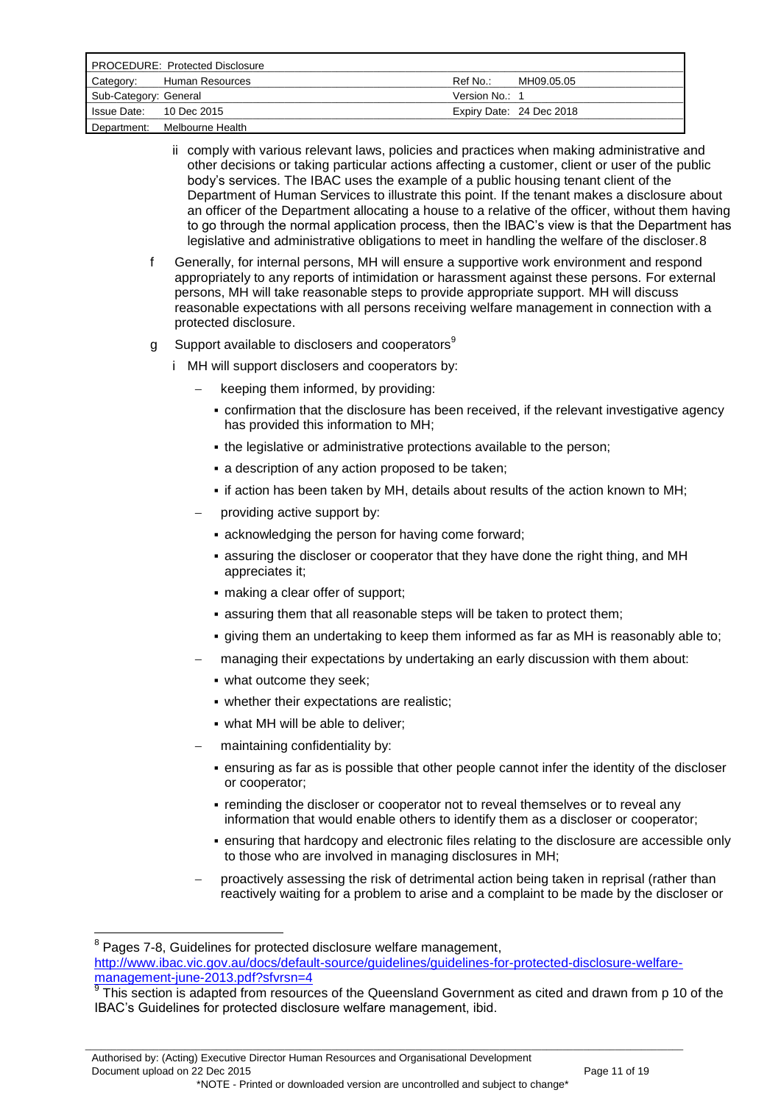| <b>PROCEDURE: Protected Disclosure</b> |                              |                |                          |
|----------------------------------------|------------------------------|----------------|--------------------------|
|                                        | Category: Human Resources    | Ref No.:       | MH09.05.05               |
| Sub-Category: General                  |                              | Version No.: 1 |                          |
| Is sue Date: 10 Dec 2015               |                              |                | Expiry Date: 24 Dec 2018 |
|                                        | Department: Melbourne Health |                |                          |

- ii comply with various relevant laws, policies and practices when making administrative and other decisions or taking particular actions affecting a customer, client or user of the public body"s services. The IBAC uses the example of a public housing tenant client of the Department of Human Services to illustrate this point. If the tenant makes a disclosure about an officer of the Department allocating a house to a relative of the officer, without them having to go through the normal application process, then the IBAC"s view is that the Department has legislative and administrative obligations to meet in handling the welfare of the discloser.8
- f Generally, for internal persons, MH will ensure a supportive work environment and respond appropriately to any reports of intimidation or harassment against these persons. For external persons, MH will take reasonable steps to provide appropriate support. MH will discuss reasonable expectations with all persons receiving welfare management in connection with a protected disclosure.
- g Support available to disclosers and cooperators<sup>9</sup>
	- i MH will support disclosers and cooperators by:
		- keeping them informed, by providing:
		- confirmation that the disclosure has been received, if the relevant investigative agency has provided this information to MH;
		- the legislative or administrative protections available to the person;
		- a description of any action proposed to be taken;
		- if action has been taken by MH, details about results of the action known to MH;
		- providing active support by:
			- **Exercise 1** acknowledging the person for having come forward;
			- assuring the discloser or cooperator that they have done the right thing, and MH appreciates it;
			- making a clear offer of support;
			- assuring them that all reasonable steps will be taken to protect them;
			- giving them an undertaking to keep them informed as far as MH is reasonably able to;
		- managing their expectations by undertaking an early discussion with them about:
			- what outcome they seek;
			- whether their expectations are realistic;
			- what MH will be able to deliver;
		- maintaining confidentiality by:
			- ensuring as far as is possible that other people cannot infer the identity of the discloser or cooperator;
			- **reminding the discloser or cooperator not to reveal themselves or to reveal any** information that would enable others to identify them as a discloser or cooperator;
			- ensuring that hardcopy and electronic files relating to the disclosure are accessible only to those who are involved in managing disclosures in MH;
		- proactively assessing the risk of detrimental action being taken in reprisal (rather than reactively waiting for a problem to arise and a complaint to be made by the discloser or

<u>.</u> <sup>8</sup> Pages 7-8, Guidelines for protected disclosure welfare management, [http://www.ibac.vic.gov.au/docs/default-source/guidelines/guidelines-for-protected-disclosure-welfare](http://www.ibac.vic.gov.au/docs/default-source/guidelines/guidelines-for-protected-disclosure-welfare-management-june-2013.pdf?sfvrsn=4)[management-june-2013.pdf?sfvrsn=4](http://www.ibac.vic.gov.au/docs/default-source/guidelines/guidelines-for-protected-disclosure-welfare-management-june-2013.pdf?sfvrsn=4)

 $9$ This section is adapted from resources of the Queensland Government as cited and drawn from p 10 of the IBAC"s Guidelines for protected disclosure welfare management, ibid.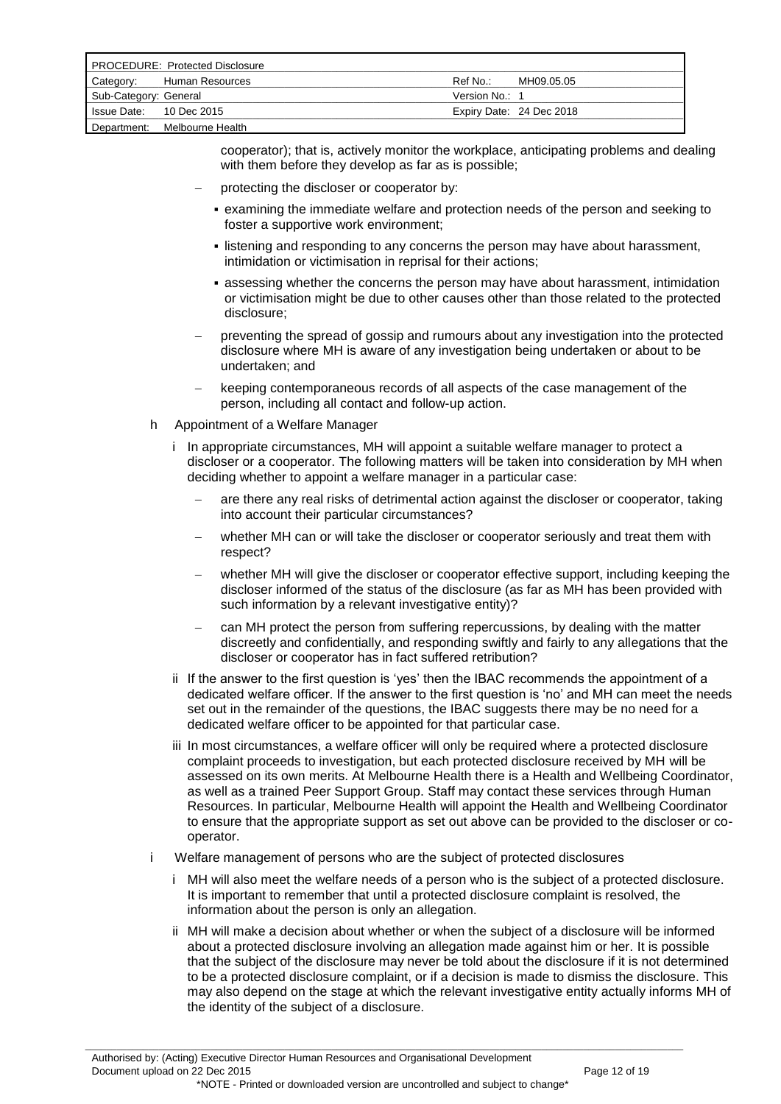| <b>PROCEDURE: Protected Disclosure</b> |                  |                |                          |
|----------------------------------------|------------------|----------------|--------------------------|
| Category:                              | Human Resources  | Ref No.:       | MH09.05.05               |
| Sub-Category: General                  |                  | Version No.: 1 |                          |
| Is sue Date: 10 Dec 2015               |                  |                | Expiry Date: 24 Dec 2018 |
| Department:                            | Melbourne Health |                |                          |

cooperator); that is, actively monitor the workplace, anticipating problems and dealing with them before they develop as far as is possible;

- protecting the discloser or cooperator by:
	- examining the immediate welfare and protection needs of the person and seeking to foster a supportive work environment;
	- listening and responding to any concerns the person may have about harassment, intimidation or victimisation in reprisal for their actions;
	- assessing whether the concerns the person may have about harassment, intimidation or victimisation might be due to other causes other than those related to the protected disclosure;
- preventing the spread of gossip and rumours about any investigation into the protected disclosure where MH is aware of any investigation being undertaken or about to be undertaken; and
- keeping contemporaneous records of all aspects of the case management of the person, including all contact and follow-up action.
- h Appointment of a Welfare Manager
	- i In appropriate circumstances, MH will appoint a suitable welfare manager to protect a discloser or a cooperator. The following matters will be taken into consideration by MH when deciding whether to appoint a welfare manager in a particular case:
		- are there any real risks of detrimental action against the discloser or cooperator, taking into account their particular circumstances?
		- whether MH can or will take the discloser or cooperator seriously and treat them with respect?
		- whether MH will give the discloser or cooperator effective support, including keeping the discloser informed of the status of the disclosure (as far as MH has been provided with such information by a relevant investigative entity)?
		- can MH protect the person from suffering repercussions, by dealing with the matter discreetly and confidentially, and responding swiftly and fairly to any allegations that the discloser or cooperator has in fact suffered retribution?
	- ii If the answer to the first question is 'yes' then the IBAC recommends the appointment of a dedicated welfare officer. If the answer to the first question is "no" and MH can meet the needs set out in the remainder of the questions, the IBAC suggests there may be no need for a dedicated welfare officer to be appointed for that particular case.
	- iii In most circumstances, a welfare officer will only be required where a protected disclosure complaint proceeds to investigation, but each protected disclosure received by MH will be assessed on its own merits. At Melbourne Health there is a Health and Wellbeing Coordinator, as well as a trained Peer Support Group. Staff may contact these services through Human Resources. In particular, Melbourne Health will appoint the Health and Wellbeing Coordinator to ensure that the appropriate support as set out above can be provided to the discloser or cooperator.
- Welfare management of persons who are the subject of protected disclosures

- i MH will also meet the welfare needs of a person who is the subject of a protected disclosure. It is important to remember that until a protected disclosure complaint is resolved, the information about the person is only an allegation.
- ii MH will make a decision about whether or when the subject of a disclosure will be informed about a protected disclosure involving an allegation made against him or her. It is possible that the subject of the disclosure may never be told about the disclosure if it is not determined to be a protected disclosure complaint, or if a decision is made to dismiss the disclosure. This may also depend on the stage at which the relevant investigative entity actually informs MH of the identity of the subject of a disclosure.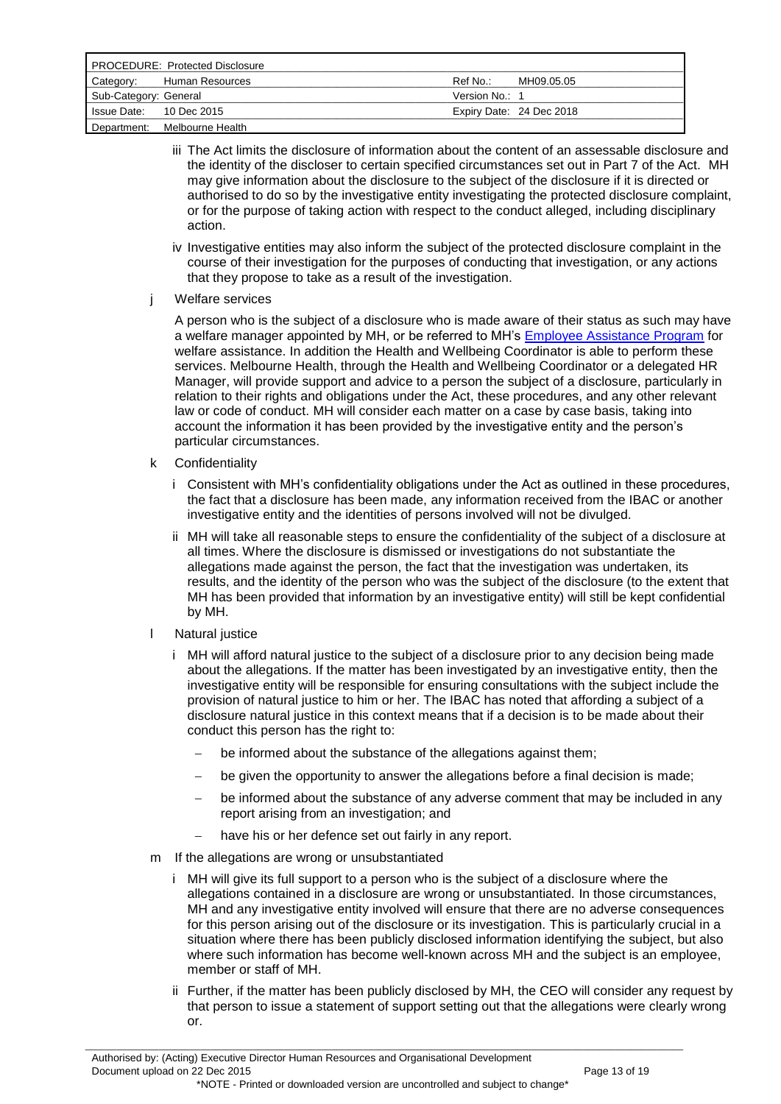| <b>PROCEDURE: Protected Disclosure</b> |                  |                |                          |
|----------------------------------------|------------------|----------------|--------------------------|
| Category:                              | Human Resources  | Ref No.:       | MH09.05.05               |
| Sub-Category: General                  |                  | Version No.: 1 |                          |
| Is sue Date: 10 Dec 2015               |                  |                | Expiry Date: 24 Dec 2018 |
| Department:                            | Melbourne Health |                |                          |

- iii The Act limits the disclosure of information about the content of an assessable disclosure and the identity of the discloser to certain specified circumstances set out in Part 7 of the Act. MH may give information about the disclosure to the subject of the disclosure if it is directed or authorised to do so by the investigative entity investigating the protected disclosure complaint, or for the purpose of taking action with respect to the conduct alleged, including disciplinary action.
- iv Investigative entities may also inform the subject of the protected disclosure complaint in the course of their investigation for the purposes of conducting that investigation, or any actions that they propose to take as a result of the investigation.
- j Welfare services

A person who is the subject of a disclosure who is made aware of their status as such may have a welfare manager appointed by MH, or be referred to MH's **Employee Assistance Program** for welfare assistance. In addition the Health and Wellbeing Coordinator is able to perform these services. Melbourne Health, through the Health and Wellbeing Coordinator or a delegated HR Manager, will provide support and advice to a person the subject of a disclosure, particularly in relation to their rights and obligations under the Act, these procedures, and any other relevant law or code of conduct. MH will consider each matter on a case by case basis, taking into account the information it has been provided by the investigative entity and the person"s particular circumstances.

- k Confidentiality
	- i Consistent with MH"s confidentiality obligations under the Act as outlined in these procedures, the fact that a disclosure has been made, any information received from the IBAC or another investigative entity and the identities of persons involved will not be divulged.
	- ii MH will take all reasonable steps to ensure the confidentiality of the subject of a disclosure at all times. Where the disclosure is dismissed or investigations do not substantiate the allegations made against the person, the fact that the investigation was undertaken, its results, and the identity of the person who was the subject of the disclosure (to the extent that MH has been provided that information by an investigative entity) will still be kept confidential by MH.
- l Natural justice
	- i MH will afford natural justice to the subject of a disclosure prior to any decision being made about the allegations. If the matter has been investigated by an investigative entity, then the investigative entity will be responsible for ensuring consultations with the subject include the provision of natural justice to him or her. The IBAC has noted that affording a subject of a disclosure natural justice in this context means that if a decision is to be made about their conduct this person has the right to:
		- be informed about the substance of the allegations against them;
		- be given the opportunity to answer the allegations before a final decision is made;
		- be informed about the substance of any adverse comment that may be included in any report arising from an investigation; and
		- have his or her defence set out fairly in any report.
- m If the allegations are wrong or unsubstantiated
	- i MH will give its full support to a person who is the subject of a disclosure where the allegations contained in a disclosure are wrong or unsubstantiated. In those circumstances, MH and any investigative entity involved will ensure that there are no adverse consequences for this person arising out of the disclosure or its investigation. This is particularly crucial in a situation where there has been publicly disclosed information identifying the subject, but also where such information has become well-known across MH and the subject is an employee, member or staff of MH.
	- ii Further, if the matter has been publicly disclosed by MH, the CEO will consider any request by that person to issue a statement of support setting out that the allegations were clearly wrong or.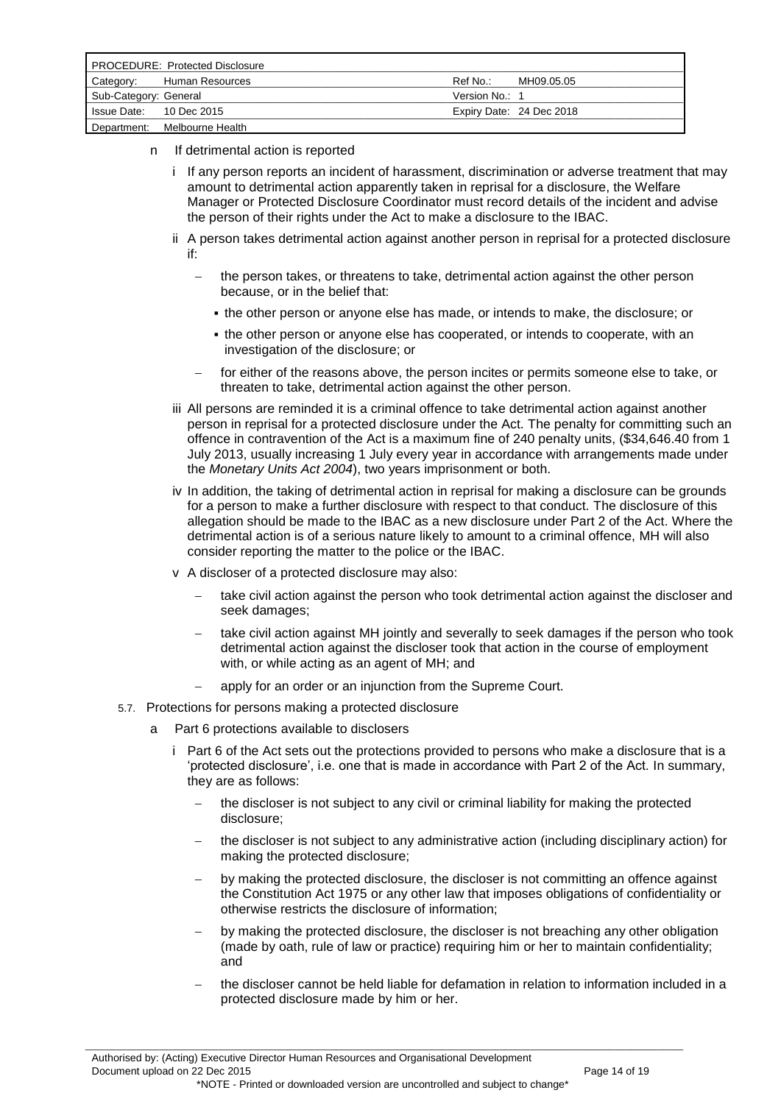| <b>PROCEDURE: Protected Disclosure</b> |                  |                |                          |
|----------------------------------------|------------------|----------------|--------------------------|
| Category:                              | Human Resources  | Ref No.:       | MH09.05.05               |
| Sub-Category: General                  |                  | Version No.: 1 |                          |
| Issue Date: 10 Dec 2015                |                  |                | Expiry Date: 24 Dec 2018 |
| Department:                            | Melbourne Health |                |                          |

- n If detrimental action is reported
	- i If any person reports an incident of harassment, discrimination or adverse treatment that may amount to detrimental action apparently taken in reprisal for a disclosure, the Welfare Manager or Protected Disclosure Coordinator must record details of the incident and advise the person of their rights under the Act to make a disclosure to the IBAC.
	- ii A person takes detrimental action against another person in reprisal for a protected disclosure if:
		- the person takes, or threatens to take, detrimental action against the other person because, or in the belief that:
			- the other person or anyone else has made, or intends to make, the disclosure; or
			- the other person or anyone else has cooperated, or intends to cooperate, with an investigation of the disclosure; or
		- for either of the reasons above, the person incites or permits someone else to take, or threaten to take, detrimental action against the other person.
	- iii All persons are reminded it is a criminal offence to take detrimental action against another person in reprisal for a protected disclosure under the Act. The penalty for committing such an offence in contravention of the Act is a maximum fine of 240 penalty units, (\$34,646.40 from 1 July 2013, usually increasing 1 July every year in accordance with arrangements made under the *Monetary Units Act 2004*), two years imprisonment or both.
	- iv In addition, the taking of detrimental action in reprisal for making a disclosure can be grounds for a person to make a further disclosure with respect to that conduct. The disclosure of this allegation should be made to the IBAC as a new disclosure under Part 2 of the Act. Where the detrimental action is of a serious nature likely to amount to a criminal offence, MH will also consider reporting the matter to the police or the IBAC.
	- v A discloser of a protected disclosure may also:
		- take civil action against the person who took detrimental action against the discloser and seek damages;
		- take civil action against MH jointly and severally to seek damages if the person who took detrimental action against the discloser took that action in the course of employment with, or while acting as an agent of MH; and
		- apply for an order or an injunction from the Supreme Court.
- 5.7. Protections for persons making a protected disclosure
	- a Part 6 protections available to disclosers
		- i Part 6 of the Act sets out the protections provided to persons who make a disclosure that is a "protected disclosure", i.e. one that is made in accordance with Part 2 of the Act. In summary, they are as follows:
			- the discloser is not subject to any civil or criminal liability for making the protected disclosure;
			- the discloser is not subject to any administrative action (including disciplinary action) for making the protected disclosure;
			- by making the protected disclosure, the discloser is not committing an offence against the Constitution Act 1975 or any other law that imposes obligations of confidentiality or otherwise restricts the disclosure of information;
			- by making the protected disclosure, the discloser is not breaching any other obligation (made by oath, rule of law or practice) requiring him or her to maintain confidentiality; and
			- the discloser cannot be held liable for defamation in relation to information included in a protected disclosure made by him or her.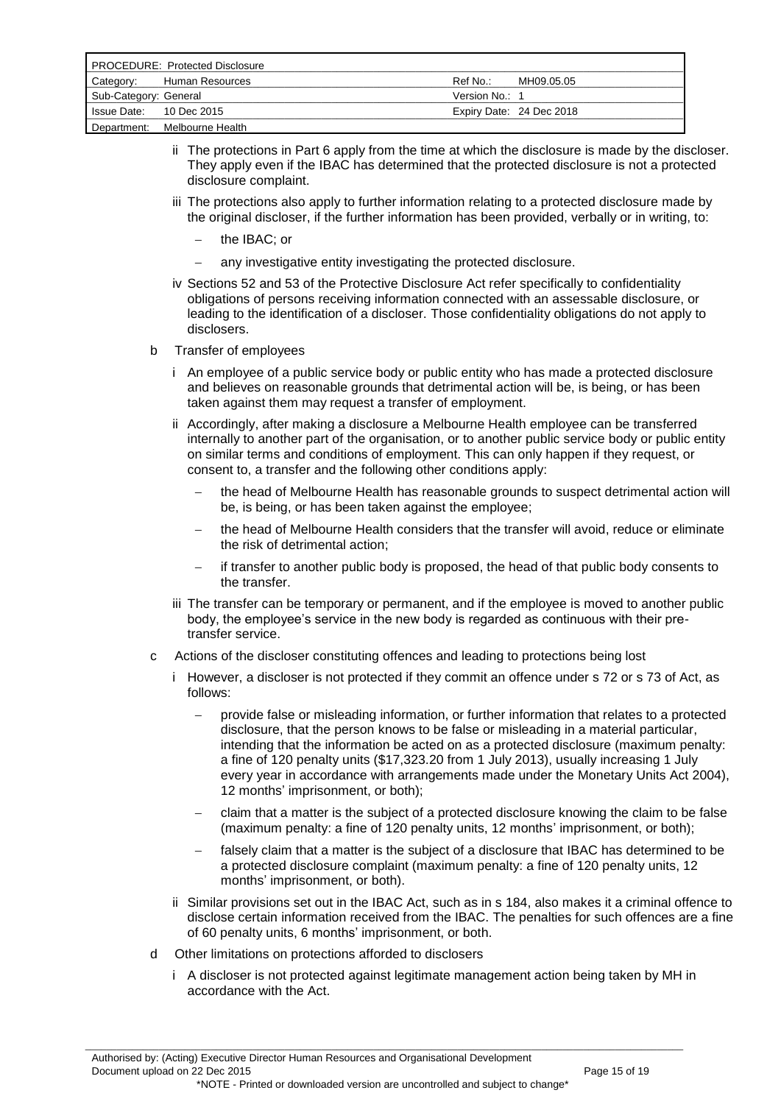| <b>PROCEDURE: Protected Disclosure</b> |                  |                |                          |
|----------------------------------------|------------------|----------------|--------------------------|
| Category:                              | Human Resources  | Ref No.:       | MH09.05.05               |
| Sub-Category: General                  |                  | Version No.: 1 |                          |
| Issue Date: 10 Dec 2015                |                  |                | Expiry Date: 24 Dec 2018 |
| Department:                            | Melbourne Health |                |                          |

- ii The protections in Part 6 apply from the time at which the disclosure is made by the discloser. They apply even if the IBAC has determined that the protected disclosure is not a protected disclosure complaint.
- iii The protections also apply to further information relating to a protected disclosure made by the original discloser, if the further information has been provided, verbally or in writing, to:
	- the IBAC; or
	- any investigative entity investigating the protected disclosure.
- iv Sections 52 and 53 of the Protective Disclosure Act refer specifically to confidentiality obligations of persons receiving information connected with an assessable disclosure, or leading to the identification of a discloser. Those confidentiality obligations do not apply to disclosers.
- b Transfer of employees
	- i An employee of a public service body or public entity who has made a protected disclosure and believes on reasonable grounds that detrimental action will be, is being, or has been taken against them may request a transfer of employment.
	- ii Accordingly, after making a disclosure a Melbourne Health employee can be transferred internally to another part of the organisation, or to another public service body or public entity on similar terms and conditions of employment. This can only happen if they request, or consent to, a transfer and the following other conditions apply:
		- the head of Melbourne Health has reasonable grounds to suspect detrimental action will be, is being, or has been taken against the employee;
		- the head of Melbourne Health considers that the transfer will avoid, reduce or eliminate the risk of detrimental action;
		- if transfer to another public body is proposed, the head of that public body consents to the transfer.
	- iii The transfer can be temporary or permanent, and if the employee is moved to another public body, the employee"s service in the new body is regarded as continuous with their pretransfer service.
- c Actions of the discloser constituting offences and leading to protections being lost
	- i However, a discloser is not protected if they commit an offence under s 72 or s 73 of Act, as follows:
		- provide false or misleading information, or further information that relates to a protected disclosure, that the person knows to be false or misleading in a material particular, intending that the information be acted on as a protected disclosure (maximum penalty: a fine of 120 penalty units (\$17,323.20 from 1 July 2013), usually increasing 1 July every year in accordance with arrangements made under the Monetary Units Act 2004), 12 months' imprisonment, or both);
		- claim that a matter is the subject of a protected disclosure knowing the claim to be false (maximum penalty: a fine of 120 penalty units, 12 months' imprisonment, or both);
		- falsely claim that a matter is the subject of a disclosure that IBAC has determined to be a protected disclosure complaint (maximum penalty: a fine of 120 penalty units, 12 months' imprisonment, or both).
	- ii Similar provisions set out in the IBAC Act, such as in s 184, also makes it a criminal offence to disclose certain information received from the IBAC. The penalties for such offences are a fine of 60 penalty units, 6 months' imprisonment, or both.
- d Other limitations on protections afforded to disclosers
	- i A discloser is not protected against legitimate management action being taken by MH in accordance with the Act.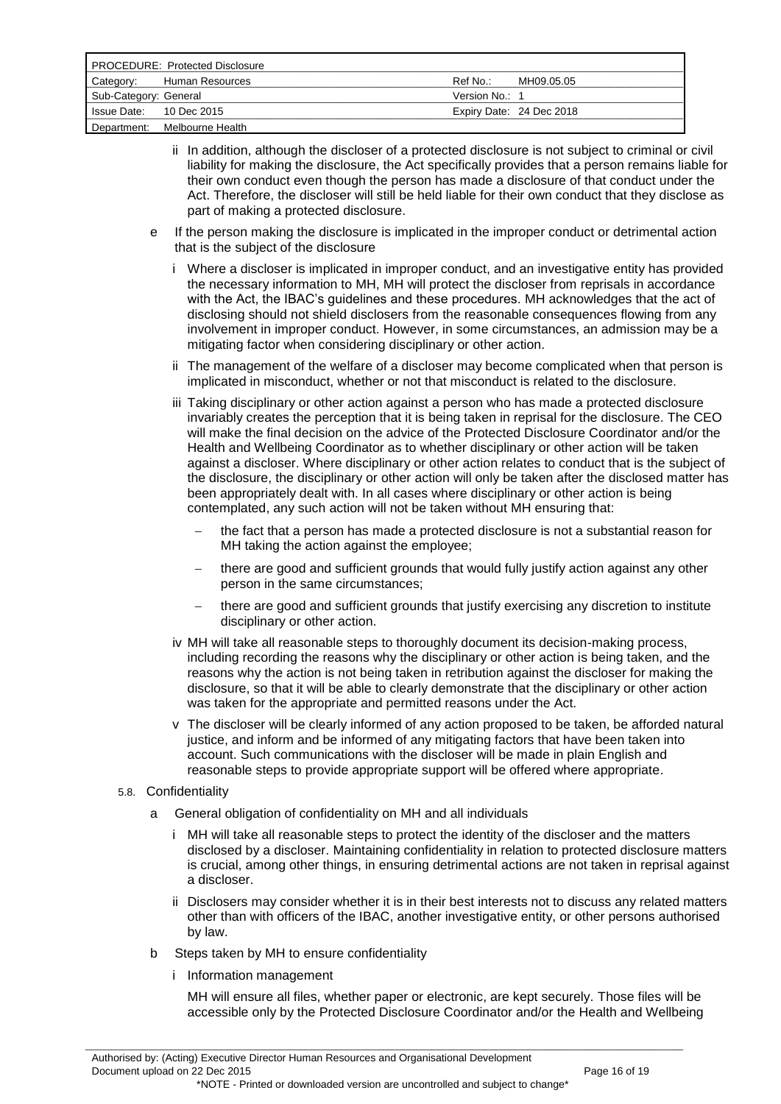| <b>PROCEDURE: Protected Disclosure</b> |                  |                |                          |
|----------------------------------------|------------------|----------------|--------------------------|
| Category:                              | Human Resources  | Ref No∴        | MH09.05.05               |
| Sub-Category: General                  |                  | Version No.: 1 |                          |
| Is sue Date: 10 Dec 2015               |                  |                | Expiry Date: 24 Dec 2018 |
| Department:                            | Melbourne Health |                |                          |

- ii In addition, although the discloser of a protected disclosure is not subject to criminal or civil liability for making the disclosure, the Act specifically provides that a person remains liable for their own conduct even though the person has made a disclosure of that conduct under the Act. Therefore, the discloser will still be held liable for their own conduct that they disclose as part of making a protected disclosure.
- e If the person making the disclosure is implicated in the improper conduct or detrimental action that is the subject of the disclosure
	- i Where a discloser is implicated in improper conduct, and an investigative entity has provided the necessary information to MH, MH will protect the discloser from reprisals in accordance with the Act, the IBAC's guidelines and these procedures. MH acknowledges that the act of disclosing should not shield disclosers from the reasonable consequences flowing from any involvement in improper conduct. However, in some circumstances, an admission may be a mitigating factor when considering disciplinary or other action.
	- ii The management of the welfare of a discloser may become complicated when that person is implicated in misconduct, whether or not that misconduct is related to the disclosure.
	- iii Taking disciplinary or other action against a person who has made a protected disclosure invariably creates the perception that it is being taken in reprisal for the disclosure. The CEO will make the final decision on the advice of the Protected Disclosure Coordinator and/or the Health and Wellbeing Coordinator as to whether disciplinary or other action will be taken against a discloser. Where disciplinary or other action relates to conduct that is the subject of the disclosure, the disciplinary or other action will only be taken after the disclosed matter has been appropriately dealt with. In all cases where disciplinary or other action is being contemplated, any such action will not be taken without MH ensuring that:
		- the fact that a person has made a protected disclosure is not a substantial reason for MH taking the action against the employee;
		- there are good and sufficient grounds that would fully justify action against any other person in the same circumstances;
		- there are good and sufficient grounds that justify exercising any discretion to institute disciplinary or other action.
	- iv MH will take all reasonable steps to thoroughly document its decision-making process, including recording the reasons why the disciplinary or other action is being taken, and the reasons why the action is not being taken in retribution against the discloser for making the disclosure, so that it will be able to clearly demonstrate that the disciplinary or other action was taken for the appropriate and permitted reasons under the Act.
	- v The discloser will be clearly informed of any action proposed to be taken, be afforded natural justice, and inform and be informed of any mitigating factors that have been taken into account. Such communications with the discloser will be made in plain English and reasonable steps to provide appropriate support will be offered where appropriate.
- 5.8. Confidentiality
	- a General obligation of confidentiality on MH and all individuals
		- i MH will take all reasonable steps to protect the identity of the discloser and the matters disclosed by a discloser. Maintaining confidentiality in relation to protected disclosure matters is crucial, among other things, in ensuring detrimental actions are not taken in reprisal against a discloser.
		- ii Disclosers may consider whether it is in their best interests not to discuss any related matters other than with officers of the IBAC, another investigative entity, or other persons authorised by law.
	- b Steps taken by MH to ensure confidentiality
		- i Information management

MH will ensure all files, whether paper or electronic, are kept securely. Those files will be accessible only by the Protected Disclosure Coordinator and/or the Health and Wellbeing

\*NOTE - Printed or downloaded version are uncontrolled and subject to change\*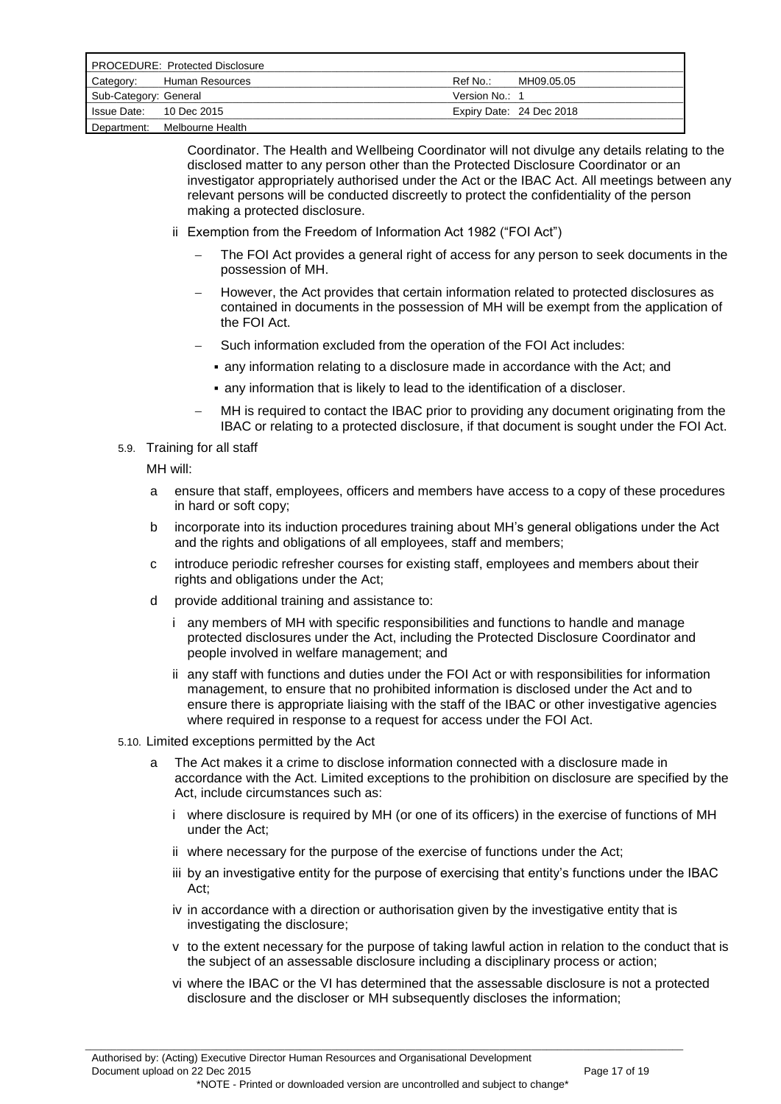| <b>PROCEDURE: Protected Disclosure</b> |                  |                |                          |
|----------------------------------------|------------------|----------------|--------------------------|
| Category:                              | Human Resources  | Ref No.:       | MH09.05.05               |
| Sub-Category: General                  |                  | Version No.: 1 |                          |
| Is sue Date: 10 Dec 2015               |                  |                | Expiry Date: 24 Dec 2018 |
| Department:                            | Melbourne Health |                |                          |

Coordinator. The Health and Wellbeing Coordinator will not divulge any details relating to the disclosed matter to any person other than the Protected Disclosure Coordinator or an investigator appropriately authorised under the Act or the IBAC Act. All meetings between any relevant persons will be conducted discreetly to protect the confidentiality of the person making a protected disclosure.

- ii Exemption from the Freedom of Information Act 1982 ("FOI Act")
	- The FOI Act provides a general right of access for any person to seek documents in the possession of MH.
	- However, the Act provides that certain information related to protected disclosures as contained in documents in the possession of MH will be exempt from the application of the FOI Act.
	- Such information excluded from the operation of the FOI Act includes:
		- any information relating to a disclosure made in accordance with the Act; and
	- any information that is likely to lead to the identification of a discloser.
	- MH is required to contact the IBAC prior to providing any document originating from the IBAC or relating to a protected disclosure, if that document is sought under the FOI Act.

#### 5.9. Training for all staff

MH will:

- a ensure that staff, employees, officers and members have access to a copy of these procedures in hard or soft copy;
- b incorporate into its induction procedures training about MH"s general obligations under the Act and the rights and obligations of all employees, staff and members;
- c introduce periodic refresher courses for existing staff, employees and members about their rights and obligations under the Act;
- d provide additional training and assistance to:
	- i any members of MH with specific responsibilities and functions to handle and manage protected disclosures under the Act, including the Protected Disclosure Coordinator and people involved in welfare management; and
	- ii any staff with functions and duties under the FOI Act or with responsibilities for information management, to ensure that no prohibited information is disclosed under the Act and to ensure there is appropriate liaising with the staff of the IBAC or other investigative agencies where required in response to a request for access under the FOI Act.
- 5.10. Limited exceptions permitted by the Act
	- a The Act makes it a crime to disclose information connected with a disclosure made in accordance with the Act. Limited exceptions to the prohibition on disclosure are specified by the Act, include circumstances such as:
		- i where disclosure is required by MH (or one of its officers) in the exercise of functions of MH under the Act;
		- ii where necessary for the purpose of the exercise of functions under the Act;

- iii by an investigative entity for the purpose of exercising that entity's functions under the IBAC Act;
- iv in accordance with a direction or authorisation given by the investigative entity that is investigating the disclosure;
- v to the extent necessary for the purpose of taking lawful action in relation to the conduct that is the subject of an assessable disclosure including a disciplinary process or action;
- vi where the IBAC or the VI has determined that the assessable disclosure is not a protected disclosure and the discloser or MH subsequently discloses the information;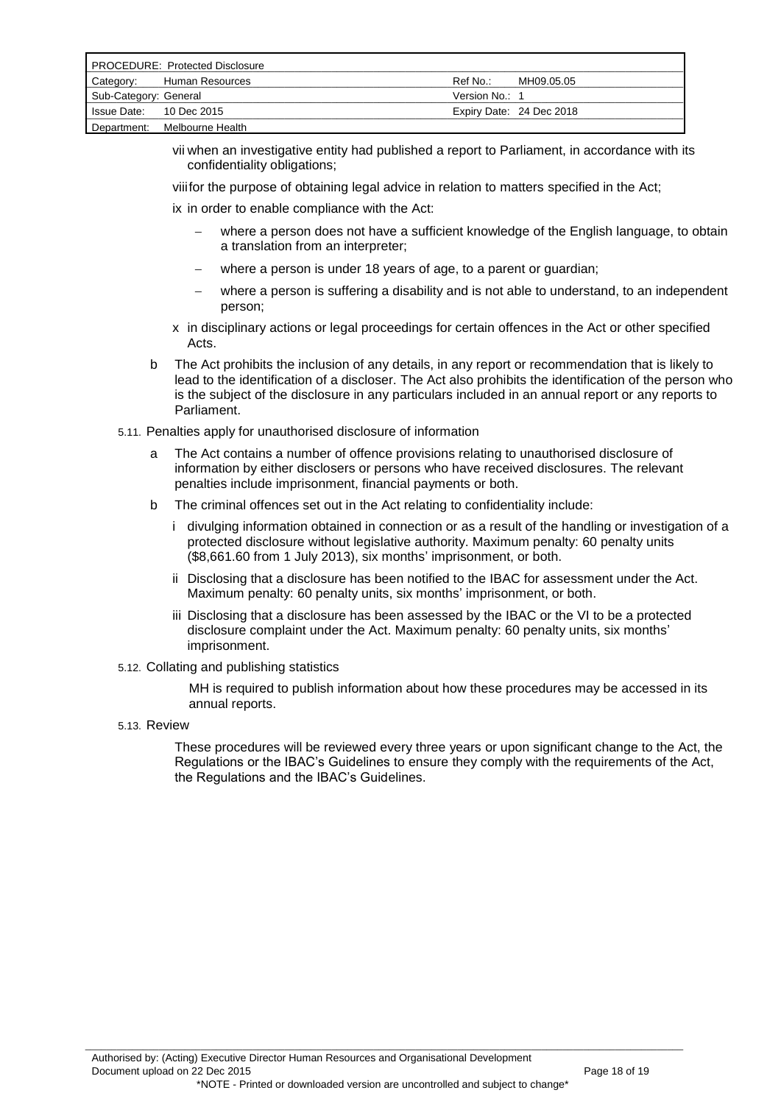| <b>PROCEDURE: Protected Disclosure</b> |                              |                |                          |
|----------------------------------------|------------------------------|----------------|--------------------------|
| Category:                              | Human Resources              | Ref No∴        | MH09.05.05               |
| Sub-Category: General                  |                              | Version No.: 1 |                          |
| Is sue Date: 10 Dec 2015               |                              |                | Expiry Date: 24 Dec 2018 |
|                                        | Department: Melbourne Health |                |                          |

vii when an investigative entity had published a report to Parliament, in accordance with its confidentiality obligations;

viiifor the purpose of obtaining legal advice in relation to matters specified in the Act;

ix in order to enable compliance with the Act:

- where a person does not have a sufficient knowledge of the English language, to obtain a translation from an interpreter;
- where a person is under 18 years of age, to a parent or guardian;
- where a person is suffering a disability and is not able to understand, to an independent person;
- x in disciplinary actions or legal proceedings for certain offences in the Act or other specified Acts.
- b The Act prohibits the inclusion of any details, in any report or recommendation that is likely to lead to the identification of a discloser. The Act also prohibits the identification of the person who is the subject of the disclosure in any particulars included in an annual report or any reports to Parliament.

#### 5.11. Penalties apply for unauthorised disclosure of information

- a The Act contains a number of offence provisions relating to unauthorised disclosure of information by either disclosers or persons who have received disclosures. The relevant penalties include imprisonment, financial payments or both.
- b The criminal offences set out in the Act relating to confidentiality include:
	- i divulging information obtained in connection or as a result of the handling or investigation of a protected disclosure without legislative authority. Maximum penalty: 60 penalty units (\$8,661.60 from 1 July 2013), six months" imprisonment, or both.
	- ii Disclosing that a disclosure has been notified to the IBAC for assessment under the Act. Maximum penalty: 60 penalty units, six months' imprisonment, or both.
	- iii Disclosing that a disclosure has been assessed by the IBAC or the VI to be a protected disclosure complaint under the Act. Maximum penalty: 60 penalty units, six months" imprisonment.
- 5.12. Collating and publishing statistics

MH is required to publish information about how these procedures may be accessed in its annual reports.

5.13. Review

These procedures will be reviewed every three years or upon significant change to the Act, the Regulations or the IBAC"s Guidelines to ensure they comply with the requirements of the Act, the Regulations and the IBAC"s Guidelines.